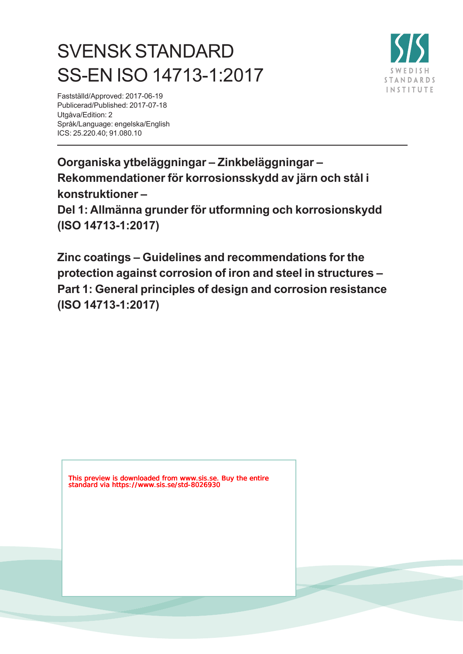# SVENSK STANDARD SS-EN ISO 14713-1:2017



Fastställd/Approved: 2017-06-19 Publicerad/Published: 2017-07-18 Utgåva/Edition: 2 Språk/Language: engelska/English ICS: 25.220.40; 91.080.10

**Oorganiska ytbeläggningar – Zinkbeläggningar – Rekommendationer för korrosionsskydd av järn och stål i konstruktioner –** 

**Del 1: Allmänna grunder för utformning och korrosionskydd (ISO 14713-1:2017)**

**Zinc coatings – Guidelines and recommendations for the protection against corrosion of iron and steel in structures – Part 1: General principles of design and corrosion resistance (ISO 14713-1:2017)**

This preview is downloaded from www.sis.se. Buy the entire standard via https://www.sis.se/std-8026930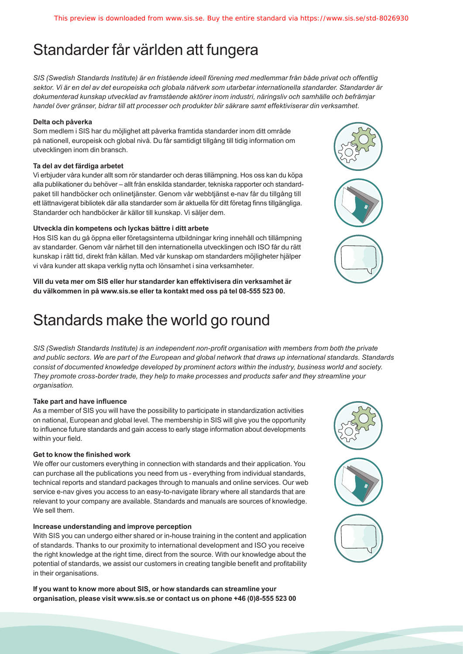# Standarder får världen att fungera

*SIS (Swedish Standards Institute) är en fristående ideell förening med medlemmar från både privat och offentlig sektor. Vi är en del av det europeiska och globala nätverk som utarbetar internationella standarder. Standarder är dokumenterad kunskap utvecklad av framstående aktörer inom industri, näringsliv och samhälle och befrämjar handel över gränser, bidrar till att processer och produkter blir säkrare samt effektiviserar din verksamhet.* 

#### **Delta och påverka**

Som medlem i SIS har du möjlighet att påverka framtida standarder inom ditt område på nationell, europeisk och global nivå. Du får samtidigt tillgång till tidig information om utvecklingen inom din bransch.

#### **Ta del av det färdiga arbetet**

Vi erbjuder våra kunder allt som rör standarder och deras tillämpning. Hos oss kan du köpa alla publikationer du behöver – allt från enskilda standarder, tekniska rapporter och standardpaket till handböcker och onlinetjänster. Genom vår webbtjänst e-nav får du tillgång till ett lättnavigerat bibliotek där alla standarder som är aktuella för ditt företag finns tillgängliga. Standarder och handböcker är källor till kunskap. Vi säljer dem.

#### **Utveckla din kompetens och lyckas bättre i ditt arbete**

Hos SIS kan du gå öppna eller företagsinterna utbildningar kring innehåll och tillämpning av standarder. Genom vår närhet till den internationella utvecklingen och ISO får du rätt kunskap i rätt tid, direkt från källan. Med vår kunskap om standarders möjligheter hjälper vi våra kunder att skapa verklig nytta och lönsamhet i sina verksamheter.

**Vill du veta mer om SIS eller hur standarder kan effektivisera din verksamhet är du välkommen in på www.sis.se eller ta kontakt med oss på tel 08-555 523 00.**

# Standards make the world go round

*SIS (Swedish Standards Institute) is an independent non-profit organisation with members from both the private and public sectors. We are part of the European and global network that draws up international standards. Standards consist of documented knowledge developed by prominent actors within the industry, business world and society. They promote cross-border trade, they help to make processes and products safer and they streamline your organisation.*

#### **Take part and have influence**

As a member of SIS you will have the possibility to participate in standardization activities on national, European and global level. The membership in SIS will give you the opportunity to influence future standards and gain access to early stage information about developments within your field.

#### **Get to know the finished work**

We offer our customers everything in connection with standards and their application. You can purchase all the publications you need from us - everything from individual standards, technical reports and standard packages through to manuals and online services. Our web service e-nav gives you access to an easy-to-navigate library where all standards that are relevant to your company are available. Standards and manuals are sources of knowledge. We sell them.

#### **Increase understanding and improve perception**

With SIS you can undergo either shared or in-house training in the content and application of standards. Thanks to our proximity to international development and ISO you receive the right knowledge at the right time, direct from the source. With our knowledge about the potential of standards, we assist our customers in creating tangible benefit and profitability in their organisations.

**If you want to know more about SIS, or how standards can streamline your organisation, please visit www.sis.se or contact us on phone +46 (0)8-555 523 00**



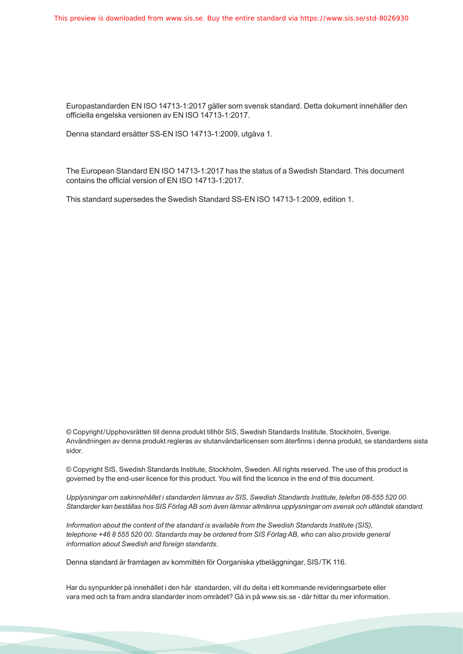Europastandarden EN ISO 14713-1:2017 gäller som svensk standard. Detta dokument innehåller den officiella engelska versionen av EN ISO 14713-1:2017.

Denna standard ersätter SS-EN ISO 14713-1:2009, utgåva 1.

The European Standard EN ISO 14713-1:2017 has the status of a Swedish Standard. This document contains the official version of EN ISO 14713-1:2017.

This standard supersedes the Swedish Standard SS-EN ISO 14713-1:2009, edition 1.

© Copyright / Upphovsrätten till denna produkt tillhör SIS, Swedish Standards Institute, Stockholm, Sverige. Användningen av denna produkt regleras av slutanvändarlicensen som återfinns i denna produkt, se standardens sista sidor.

© Copyright SIS, Swedish Standards Institute, Stockholm, Sweden. All rights reserved. The use of this product is governed by the end-user licence for this product. You will find the licence in the end of this document.

*Upplysningar om sakinnehållet i standarden lämnas av SIS, Swedish Standards Institute, telefon 08-555 520 00. Standarder kan beställas hos SIS Förlag AB som även lämnar allmänna upplysningar om svensk och utländsk standard.*

*Information about the content of the standard is available from the Swedish Standards Institute (SIS), telephone +46 8 555 520 00. Standards may be ordered from SIS Förlag AB, who can also provide general information about Swedish and foreign standards.*

Denna standard är framtagen av kommittén för Oorganiska ytbeläggningar, SIS / TK 116.

Har du synpunkter på innehållet i den här standarden, vill du delta i ett kommande revideringsarbete eller vara med och ta fram andra standarder inom området? Gå in på www.sis.se - där hittar du mer information.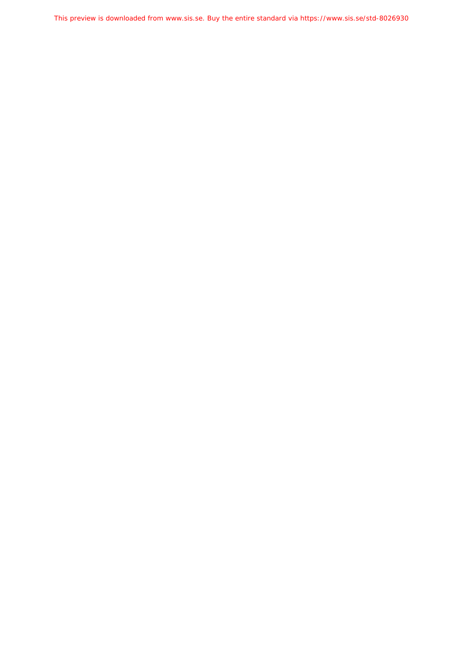This preview is downloaded from www.sis.se. Buy the entire standard via https://www.sis.se/std-8026930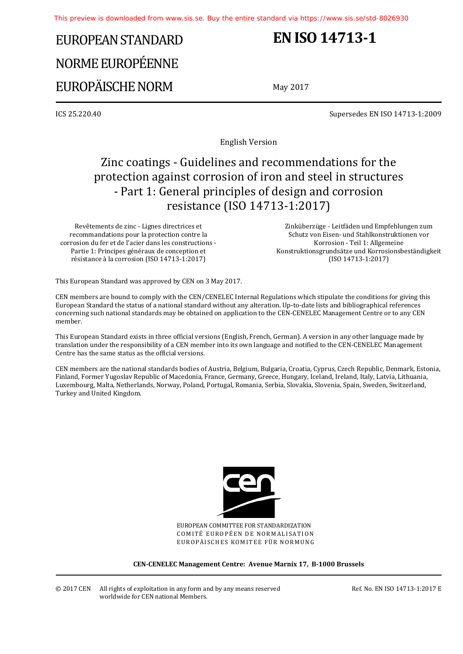# EUROPEAN STANDARD NORME EUROPÉENNE EUROPÄISCHE NORM

# **EN ISO 14713-1**

May 2017

ICS 25.220.40 Supersedes EN ISO 14713-1:2009

English Version

## Zinc coatings - Guidelines and recommendations for the protection against corrosion of iron and steel in structures - Part 1: General principles of design and corrosion resistance (ISO 14713-1:2017)

Revêtements de zinc - Lignes directrices et recommandations pour la protection contre la corrosion du fer et de l'acier dans les constructions - Partie 1: Principes généraux de conception et résistance à la corrosion (ISO 14713-1:2017)

Zinküberzüge - Leitfäden und Empfehlungen zum Schutz von Eisen- und Stahlkonstruktionen vor Korrosion - Teil 1: Allgemeine Konstruktionsgrundsätze und Korrosionsbeständigkeit (ISO 14713-1:2017)

This European Standard was approved by CEN on 3 May 2017.

CEN members are bound to comply with the CEN/CENELEC Internal Regulations which stipulate the conditions for giving this European Standard the status of a national standard without any alteration. Up-to-date lists and bibliographical references concerning such national standards may be obtained on application to the CEN-CENELEC Management Centre or to any CEN member.

This European Standard exists in three official versions (English, French, German). A version in any other language made by translation under the responsibility of a CEN member into its own language and notified to the CEN-CENELEC Management Centre has the same status as the official versions.

CEN members are the national standards bodies of Austria, Belgium, Bulgaria, Croatia, Cyprus, Czech Republic, Denmark, Estonia, Finland, Former Yugoslav Republic of Macedonia, France, Germany, Greece, Hungary, Iceland, Ireland, Italy, Latvia, Lithuania, Luxembourg, Malta, Netherlands, Norway, Poland, Portugal, Romania, Serbia, Slovakia, Slovenia, Spain, Sweden, Switzerland, Turkey and United Kingdom.



EUROPEAN COMMITTEE FOR STANDARDIZATION COMITÉ EUROPÉEN DE NORMALISATION EUROPÄISCHES KOMITEE FÜR NORMUNG

**CEN-CENELEC Management Centre: Avenue Marnix 17, B-1000 Brussels** 

© 2017 CEN All rights of exploitation in any form and by any means reserved worldwide for CEN national Members.

Ref. No. EN ISO 14713-1:2017 E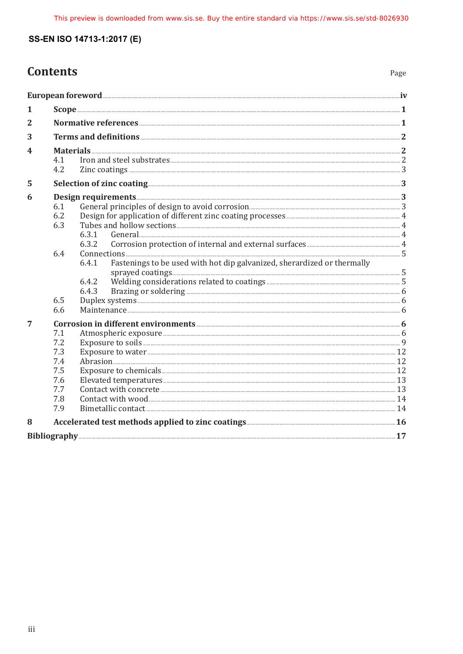## SS-EN ISO 14713-1:2017 (E)

## **Contents**

Page

| 1                                                                                                                                                                               |  |
|---------------------------------------------------------------------------------------------------------------------------------------------------------------------------------|--|
| 2                                                                                                                                                                               |  |
| 3                                                                                                                                                                               |  |
| 4<br>4.1<br>4.2                                                                                                                                                                 |  |
| Selection of zinc coating 500 million 3<br>5                                                                                                                                    |  |
| Design requirements 3<br>6<br>6.1<br>6.2                                                                                                                                        |  |
| 6.3<br>6.3.1<br>6.3.2                                                                                                                                                           |  |
| 6.4<br>Fastenings to be used with hot dip galvanized, sherardized or thermally<br>6.4.1<br>6.4.2<br>6.4.3<br>6.5<br>6.6                                                         |  |
| Corrosion in different environments <b>Exercise 2016</b> 6<br>7<br>7.1<br>7.2<br>Exposure to water <b>Exposure to water</b> 22<br>7.3<br>7.4<br>7.5<br>7.6<br>7.7<br>7.8<br>7.9 |  |
| 8                                                                                                                                                                               |  |
|                                                                                                                                                                                 |  |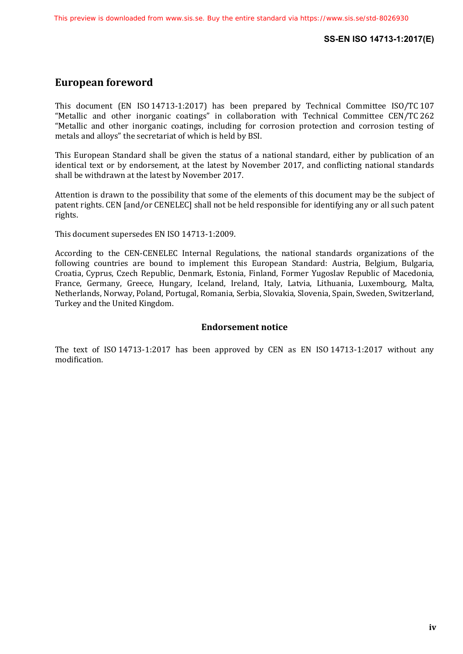### **SS-EN ISO 14713-1:2017(E)**

## **European foreword**

This document (EN ISO 14713-1:2017) has been prepared by Technical Committee ISO/TC 107 "Metallic and other inorganic coatings" in collaboration with Technical Committee CEN/TC 262 "Metallic and other inorganic coatings, including for corrosion protection and corrosion testing of metals and alloys" the secretariat of which is held by BSI.

This European Standard shall be given the status of a national standard, either by publication of an identical text or by endorsement, at the latest by November 2017, and conflicting national standards shall be withdrawn at the latest by November 2017.

Attention is drawn to the possibility that some of the elements of this document may be the subject of patent rights. CEN [and/or CENELEC] shall not be held responsible for identifying any or all such patent rights.

This document supersedes EN ISO 14713-1:2009.

According to the CEN-CENELEC Internal Regulations, the national standards organizations of the following countries are bound to implement this European Standard: Austria, Belgium, Bulgaria, Croatia, Cyprus, Czech Republic, Denmark, Estonia, Finland, Former Yugoslav Republic of Macedonia, France, Germany, Greece, Hungary, Iceland, Ireland, Italy, Latvia, Lithuania, Luxembourg, Malta, Netherlands, Norway, Poland, Portugal, Romania, Serbia, Slovakia, Slovenia, Spain, Sweden, Switzerland, Turkey and the United Kingdom.

## **Endorsement notice**

The text of ISO 14713-1:2017 has been approved by CEN as EN ISO 14713-1:2017 without any modification.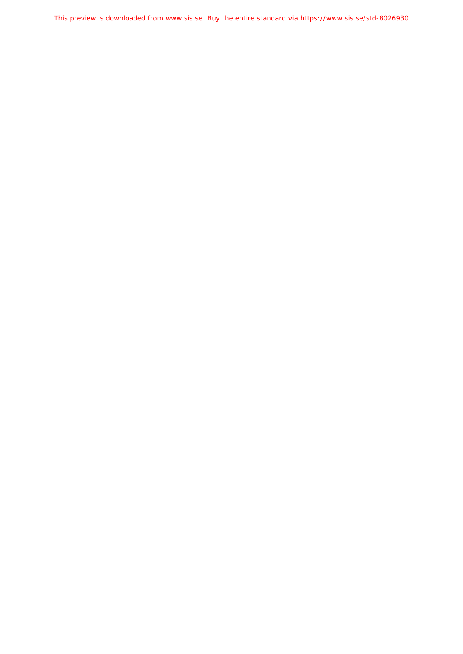This preview is downloaded from www.sis.se. Buy the entire standard via https://www.sis.se/std-8026930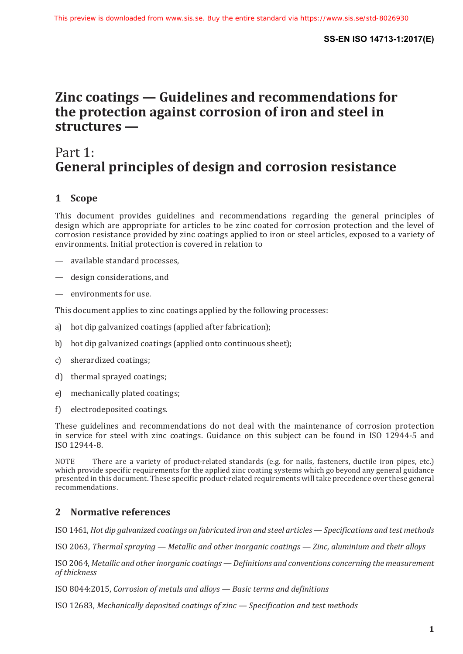## **Zinc coatings — Guidelines and recommendations for the protection against corrosion of iron and steel in structures —**

## Part 1: **General principles of design and corrosion resistance**

## **1 Scope**

This document provides guidelines and recommendations regarding the general principles of design which are appropriate for articles to be zinc coated for corrosion protection and the level of corrosion resistance provided by zinc coatings applied to iron or steel articles, exposed to a variety of environments. Initial protection is covered in relation to

- available standard processes,
- design considerations, and
- environments for use.

This document applies to zinc coatings applied by the following processes:

- a) hot dip galvanized coatings (applied after fabrication);
- b) hot dip galvanized coatings (applied onto continuous sheet);
- c) sherardized coatings;
- d) thermal sprayed coatings;
- e) mechanically plated coatings;
- f) electrodeposited coatings.

These guidelines and recommendations do not deal with the maintenance of corrosion protection in service for steel with zinc coatings. Guidance on this subject can be found in ISO 12944-5 and ISO 12944-8.

NOTE There are a variety of product-related standards (e.g. for nails, fasteners, ductile iron pipes, etc.) which provide specific requirements for the applied zinc coating systems which go beyond any general guidance presented in this document. These specific product-related requirements will take precedence over these general recommendations.

## **2 Normative references**

ISO 1461, *Hot dip galvanized coatings on fabricated iron and steel articles — Specifications and test methods*

ISO 2063, *Thermal spraying — Metallic and other inorganic coatings — Zinc, aluminium and their alloys*

ISO2064, *Metallic and other inorganic coatings— Definitions and conventions concerning the measurement of thickness*

ISO 8044:2015, *Corrosion of metals and alloys — Basic terms and definitions*

ISO 12683, *Mechanically deposited coatings of zinc — Specification and test methods*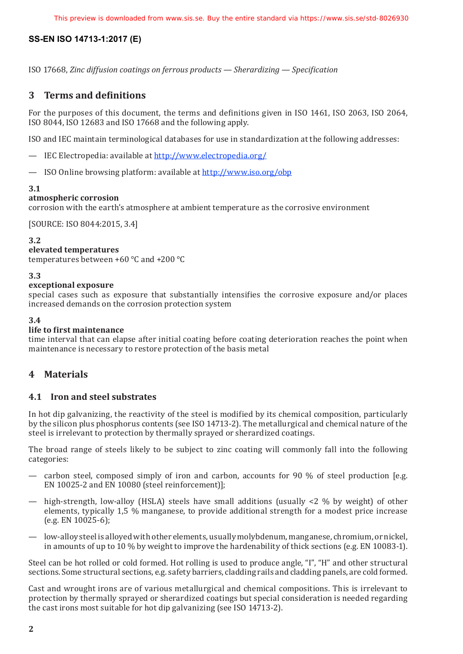## **SS-EN ISO 14713-1:2017 (E)**

ISO 17668, *Zinc diffusion coatings on ferrous products — Sherardizing — Specification*

## **3 Terms and definitions**

For the purposes of this document, the terms and definitions given in ISO 1461, ISO 2063, ISO 2064, ISO 8044, ISO 12683 and ISO 17668 and the following apply.

ISO and IEC maintain terminological databases for use in standardization at the following addresses:

- IEC Electropedia: available at http://www.electropedia.org/
- ISO Online browsing platform: available at http://www.iso.org/obp

### **3.1**

#### **atmospheric corrosion**

corrosion with the earth's atmosphere at ambient temperature as the corrosive environment

[SOURCE: ISO 8044:2015, 3.4]

### **3.2**

### **elevated temperatures**

temperatures between +60 °C and +200 °C

### **3.3**

### **exceptional exposure**

special cases such as exposure that substantially intensifies the corrosive exposure and/or places increased demands on the corrosion protection system

### **3.4**

#### **life to first maintenance**

time interval that can elapse after initial coating before coating deterioration reaches the point when maintenance is necessary to restore protection of the basis metal

## **4 Materials**

## **4.1 Iron and steel substrates**

In hot dip galvanizing, the reactivity of the steel is modified by its chemical composition, particularly by the silicon plus phosphorus contents (see ISO 14713-2). The metallurgical and chemical nature of the steel is irrelevant to protection by thermally sprayed or sherardized coatings.

The broad range of steels likely to be subject to zinc coating will commonly fall into the following categories:

- carbon steel, composed simply of iron and carbon, accounts for 90  $\%$  of steel production [e.g. EN 10025-2 and EN 10080 (steel reinforcement)];
- high-strength, low-alloy (HSLA) steels have small additions (usually  $\lt 2$  % by weight) of other elements, typically 1,5 % manganese, to provide additional strength for a modest price increase (e.g. EN 10025-6);
- low-alloy steel is alloyed with other elements, usually molybdenum, manganese, chromium, or nickel, in amounts of up to 10 % by weight to improve the hardenability of thick sections (e.g. EN 10083-1).

Steel can be hot rolled or cold formed. Hot rolling is used to produce angle, "I", "H" and other structural sections. Some structural sections, e.g. safety barriers, cladding rails and cladding panels, are cold formed.

Cast and wrought irons are of various metallurgical and chemical compositions. This is irrelevant to protection by thermally sprayed or sherardized coatings but special consideration is needed regarding the cast irons most suitable for hot dip galvanizing (see ISO 14713-2).